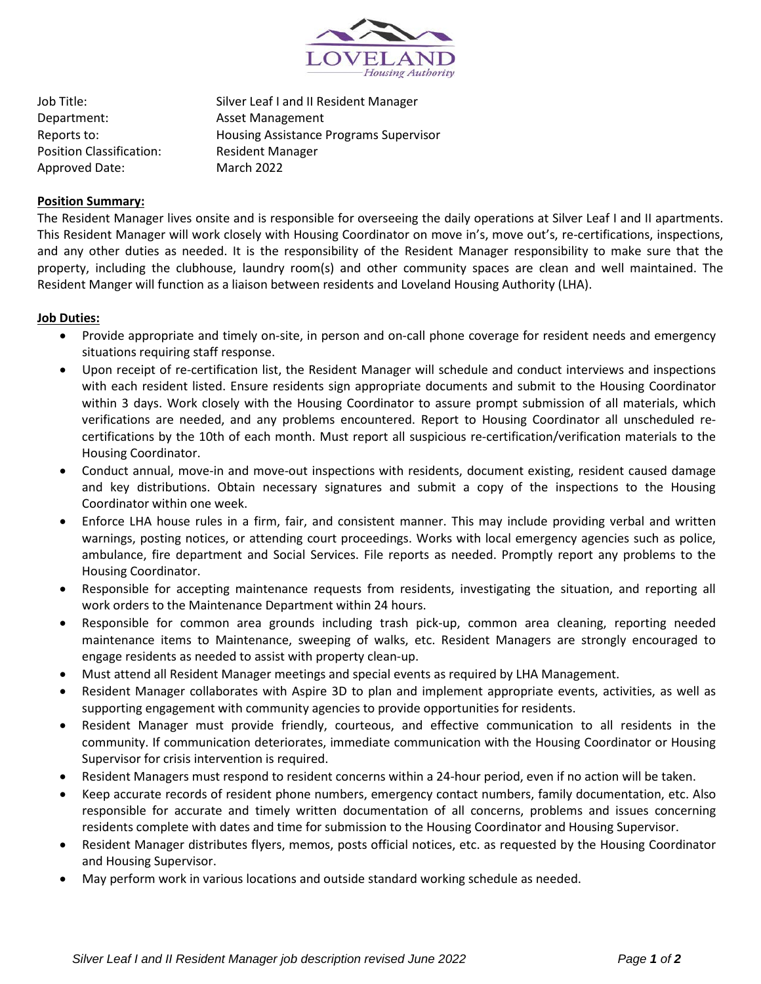

Job Title: Silver Leaf I and II Resident Manager Department: Asset Management Reports to: Housing Assistance Programs Supervisor Position Classification: Resident Manager Approved Date: March 2022

# **Position Summary:**

The Resident Manager lives onsite and is responsible for overseeing the daily operations at Silver Leaf I and II apartments. This Resident Manager will work closely with Housing Coordinator on move in's, move out's, re-certifications, inspections, and any other duties as needed. It is the responsibility of the Resident Manager responsibility to make sure that the property, including the clubhouse, laundry room(s) and other community spaces are clean and well maintained. The Resident Manger will function as a liaison between residents and Loveland Housing Authority (LHA).

### **Job Duties:**

- Provide appropriate and timely on-site, in person and on-call phone coverage for resident needs and emergency situations requiring staff response.
- Upon receipt of re-certification list, the Resident Manager will schedule and conduct interviews and inspections with each resident listed. Ensure residents sign appropriate documents and submit to the Housing Coordinator within 3 days. Work closely with the Housing Coordinator to assure prompt submission of all materials, which verifications are needed, and any problems encountered. Report to Housing Coordinator all unscheduled recertifications by the 10th of each month. Must report all suspicious re-certification/verification materials to the Housing Coordinator.
- Conduct annual, move-in and move-out inspections with residents, document existing, resident caused damage and key distributions. Obtain necessary signatures and submit a copy of the inspections to the Housing Coordinator within one week.
- Enforce LHA house rules in a firm, fair, and consistent manner. This may include providing verbal and written warnings, posting notices, or attending court proceedings. Works with local emergency agencies such as police, ambulance, fire department and Social Services. File reports as needed. Promptly report any problems to the Housing Coordinator.
- Responsible for accepting maintenance requests from residents, investigating the situation, and reporting all work orders to the Maintenance Department within 24 hours.
- Responsible for common area grounds including trash pick-up, common area cleaning, reporting needed maintenance items to Maintenance, sweeping of walks, etc. Resident Managers are strongly encouraged to engage residents as needed to assist with property clean-up.
- Must attend all Resident Manager meetings and special events as required by LHA Management.
- Resident Manager collaborates with Aspire 3D to plan and implement appropriate events, activities, as well as supporting engagement with community agencies to provide opportunities for residents.
- Resident Manager must provide friendly, courteous, and effective communication to all residents in the community. If communication deteriorates, immediate communication with the Housing Coordinator or Housing Supervisor for crisis intervention is required.
- Resident Managers must respond to resident concerns within a 24-hour period, even if no action will be taken.
- Keep accurate records of resident phone numbers, emergency contact numbers, family documentation, etc. Also responsible for accurate and timely written documentation of all concerns, problems and issues concerning residents complete with dates and time for submission to the Housing Coordinator and Housing Supervisor.
- Resident Manager distributes flyers, memos, posts official notices, etc. as requested by the Housing Coordinator and Housing Supervisor.
- May perform work in various locations and outside standard working schedule as needed.